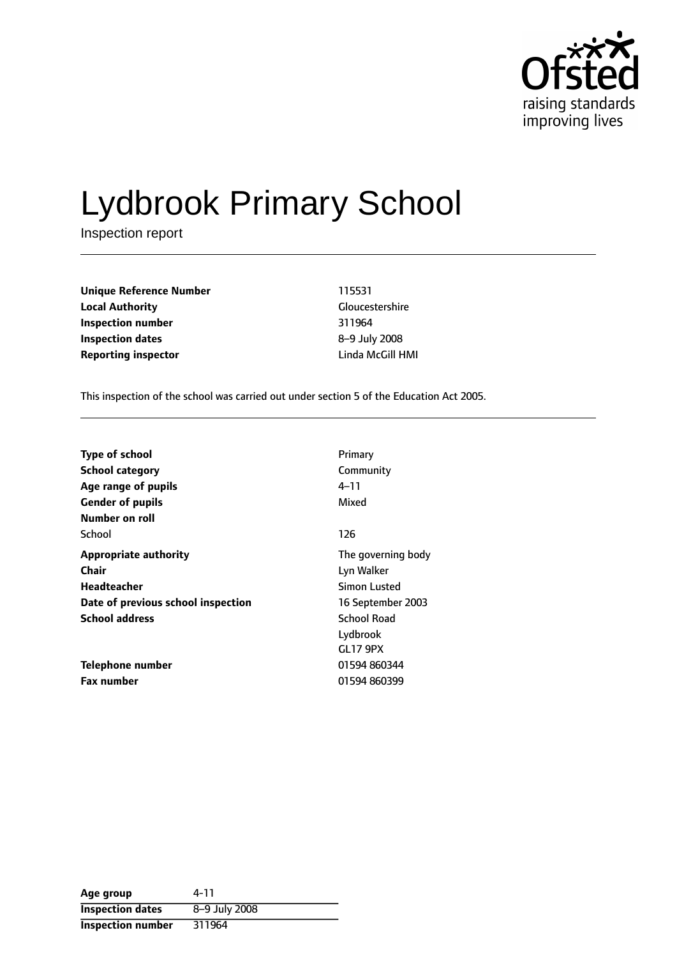

# Lydbrook Primary School

Inspection report

**Unique Reference Number** 115531 **Local Authority** Gloucestershire **Inspection number** 311964 **Inspection dates** 8-9 July 2008 **Reporting inspector** Linda McGill HMI

This inspection of the school was carried out under section 5 of the Education Act 2005.

| Type of school                     | Primary             |
|------------------------------------|---------------------|
| <b>School category</b>             | Community           |
| Age range of pupils                | 4–11                |
| <b>Gender of pupils</b>            | Mixed               |
| Number on roll                     |                     |
| School                             | 126                 |
| <b>Appropriate authority</b>       | The governing body  |
| Chair                              | Lyn Walker          |
| Headteacher                        | <b>Simon Lusted</b> |
| Date of previous school inspection | 16 September 2003   |
| <b>School address</b>              | <b>School Road</b>  |
|                                    | Lydbrook            |
|                                    | <b>GL17 9PX</b>     |
| <b>Telephone number</b>            | 01594 860344        |
| <b>Fax number</b>                  | 01594 860399        |

| Age group                | 4-11          |
|--------------------------|---------------|
| <b>Inspection dates</b>  | 8-9 July 2008 |
| <b>Inspection number</b> | 311964        |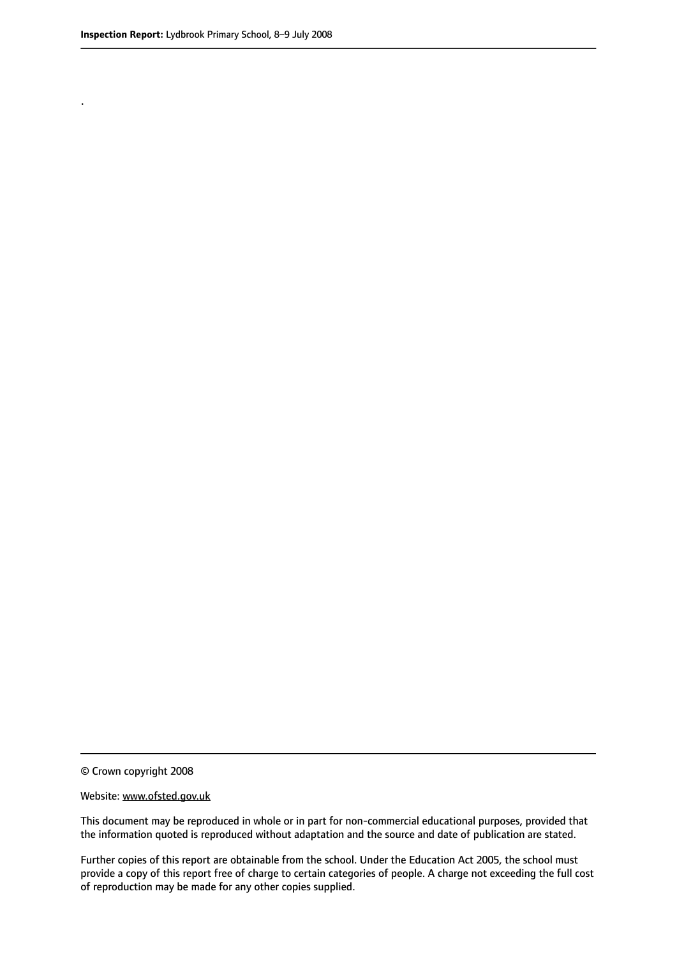.

© Crown copyright 2008

#### Website: www.ofsted.gov.uk

This document may be reproduced in whole or in part for non-commercial educational purposes, provided that the information quoted is reproduced without adaptation and the source and date of publication are stated.

Further copies of this report are obtainable from the school. Under the Education Act 2005, the school must provide a copy of this report free of charge to certain categories of people. A charge not exceeding the full cost of reproduction may be made for any other copies supplied.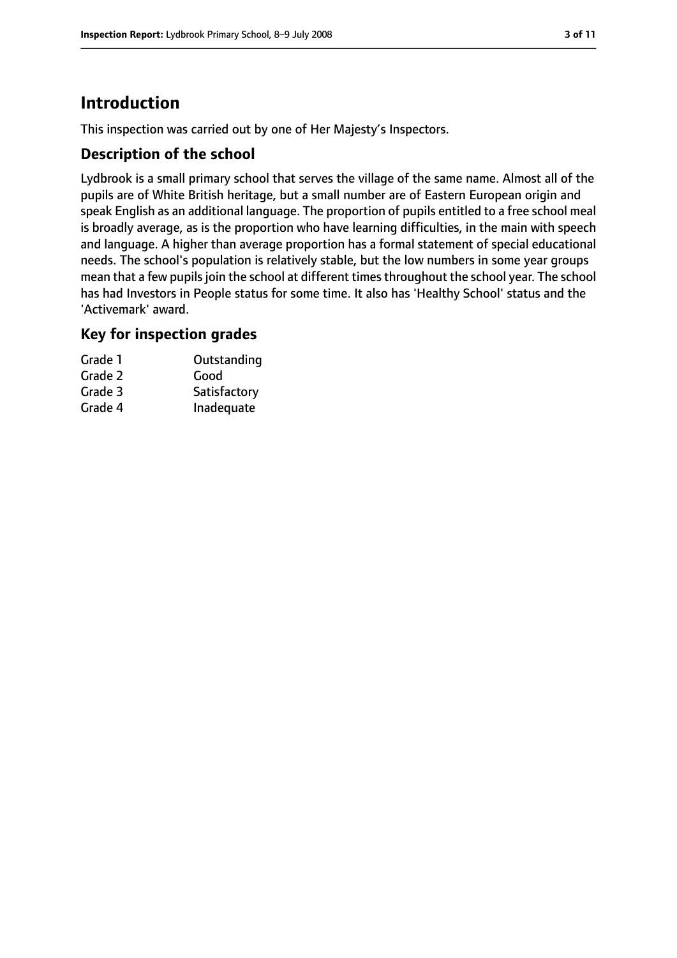# **Introduction**

This inspection was carried out by one of Her Majesty's Inspectors.

#### **Description of the school**

Lydbrook is a small primary school that serves the village of the same name. Almost all of the pupils are of White British heritage, but a small number are of Eastern European origin and speak English as an additional language. The proportion of pupils entitled to a free school meal is broadly average, as is the proportion who have learning difficulties, in the main with speech and language. A higher than average proportion has a formal statement of special educational needs. The school's population is relatively stable, but the low numbers in some year groups mean that a few pupils join the school at different times throughout the school year. The school has had Investors in People status for some time. It also has 'Healthy School' status and the 'Activemark' award.

#### **Key for inspection grades**

| Grade 1 | Outstanding  |
|---------|--------------|
| Grade 2 | Good         |
| Grade 3 | Satisfactory |
| Grade 4 | Inadequate   |
|         |              |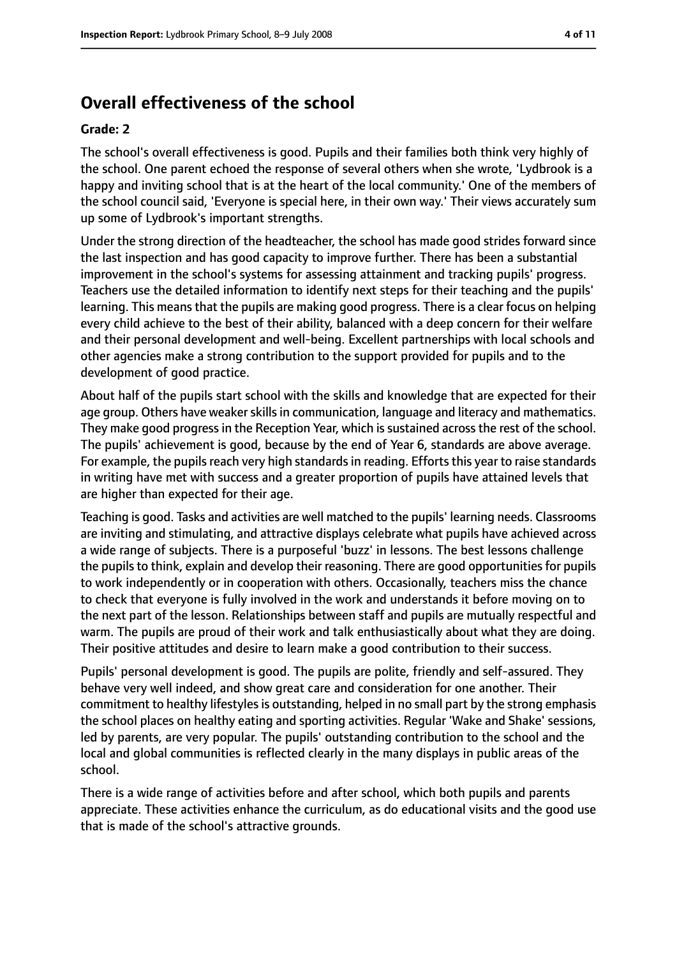## **Overall effectiveness of the school**

#### **Grade: 2**

The school's overall effectiveness is good. Pupils and their families both think very highly of the school. One parent echoed the response of several others when she wrote, 'Lydbrook is a happy and inviting school that is at the heart of the local community.' One of the members of the school council said, 'Everyone is special here, in their own way.' Their views accurately sum up some of Lydbrook's important strengths.

Under the strong direction of the headteacher, the school has made good strides forward since the last inspection and has good capacity to improve further. There has been a substantial improvement in the school's systems for assessing attainment and tracking pupils' progress. Teachers use the detailed information to identify next steps for their teaching and the pupils' learning. This means that the pupils are making good progress. There is a clear focus on helping every child achieve to the best of their ability, balanced with a deep concern for their welfare and their personal development and well-being. Excellent partnerships with local schools and other agencies make a strong contribution to the support provided for pupils and to the development of good practice.

About half of the pupils start school with the skills and knowledge that are expected for their age group. Others have weaker skills in communication, language and literacy and mathematics. They make good progress in the Reception Year, which is sustained across the rest of the school. The pupils' achievement is good, because by the end of Year 6, standards are above average. For example, the pupils reach very high standards in reading. Efforts this year to raise standards in writing have met with success and a greater proportion of pupils have attained levels that are higher than expected for their age.

Teaching is good. Tasks and activities are well matched to the pupils' learning needs. Classrooms are inviting and stimulating, and attractive displays celebrate what pupils have achieved across a wide range of subjects. There is a purposeful 'buzz' in lessons. The best lessons challenge the pupils to think, explain and develop their reasoning. There are good opportunities for pupils to work independently or in cooperation with others. Occasionally, teachers miss the chance to check that everyone is fully involved in the work and understands it before moving on to the next part of the lesson. Relationships between staff and pupils are mutually respectful and warm. The pupils are proud of their work and talk enthusiastically about what they are doing. Their positive attitudes and desire to learn make a good contribution to their success.

Pupils' personal development is good. The pupils are polite, friendly and self-assured. They behave very well indeed, and show great care and consideration for one another. Their commitment to healthy lifestylesis outstanding, helped in no small part by the strong emphasis the school places on healthy eating and sporting activities. Regular 'Wake and Shake' sessions, led by parents, are very popular. The pupils' outstanding contribution to the school and the local and global communities is reflected clearly in the many displays in public areas of the school.

There is a wide range of activities before and after school, which both pupils and parents appreciate. These activities enhance the curriculum, as do educational visits and the good use that is made of the school's attractive grounds.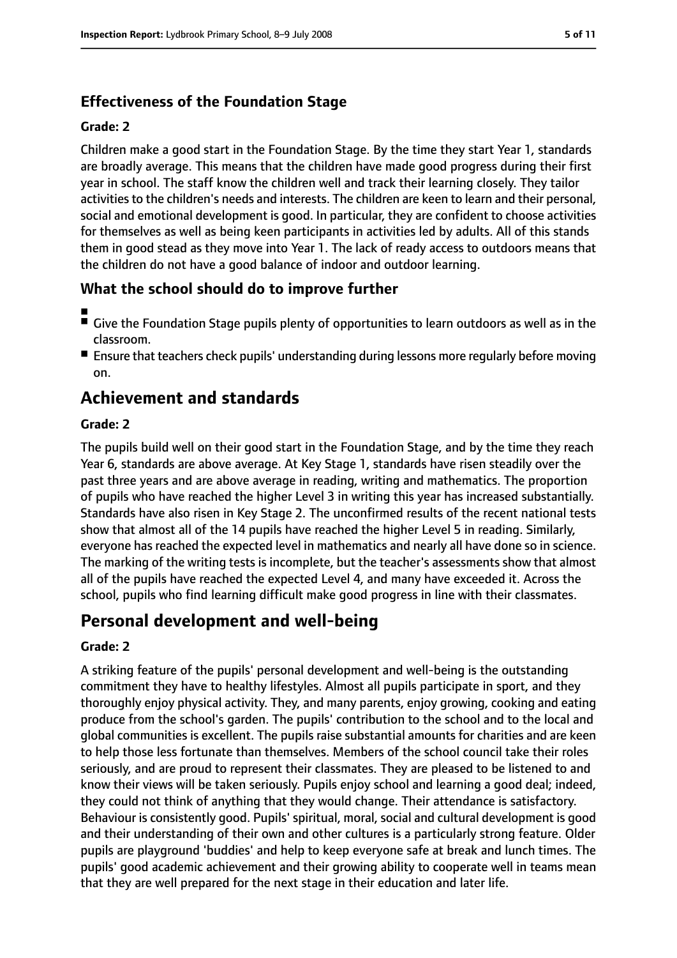## **Effectiveness of the Foundation Stage**

#### **Grade: 2**

Children make a good start in the Foundation Stage. By the time they start Year 1, standards are broadly average. This means that the children have made good progress during their first year in school. The staff know the children well and track their learning closely. They tailor activities to the children's needs and interests. The children are keen to learn and their personal, social and emotional development is good. In particular, they are confident to choose activities for themselves as well as being keen participants in activities led by adults. All of this stands them in good stead as they move into Year 1. The lack of ready access to outdoors means that the children do not have a good balance of indoor and outdoor learning.

## **What the school should do to improve further**

- ■
- Give the Foundation Stage pupils plenty of opportunities to learn outdoors as well as in the classroom.
- Ensure that teachers check pupils' understanding during lessons more regularly before moving on.

## **Achievement and standards**

#### **Grade: 2**

The pupils build well on their good start in the Foundation Stage, and by the time they reach Year 6, standards are above average. At Key Stage 1, standards have risen steadily over the past three years and are above average in reading, writing and mathematics. The proportion of pupils who have reached the higher Level 3 in writing this year has increased substantially. Standards have also risen in Key Stage 2. The unconfirmed results of the recent national tests show that almost all of the 14 pupils have reached the higher Level 5 in reading. Similarly, everyone has reached the expected level in mathematics and nearly all have done so in science. The marking of the writing tests is incomplete, but the teacher's assessments show that almost all of the pupils have reached the expected Level 4, and many have exceeded it. Across the school, pupils who find learning difficult make good progress in line with their classmates.

## **Personal development and well-being**

#### **Grade: 2**

A striking feature of the pupils' personal development and well-being is the outstanding commitment they have to healthy lifestyles. Almost all pupils participate in sport, and they thoroughly enjoy physical activity. They, and many parents, enjoy growing, cooking and eating produce from the school's garden. The pupils' contribution to the school and to the local and global communities is excellent. The pupils raise substantial amounts for charities and are keen to help those less fortunate than themselves. Members of the school council take their roles seriously, and are proud to represent their classmates. They are pleased to be listened to and know their views will be taken seriously. Pupils enjoy school and learning a good deal; indeed, they could not think of anything that they would change. Their attendance is satisfactory. Behaviour is consistently good. Pupils' spiritual, moral, social and cultural development is good and their understanding of their own and other cultures is a particularly strong feature. Older pupils are playground 'buddies' and help to keep everyone safe at break and lunch times. The pupils' good academic achievement and their growing ability to cooperate well in teams mean that they are well prepared for the next stage in their education and later life.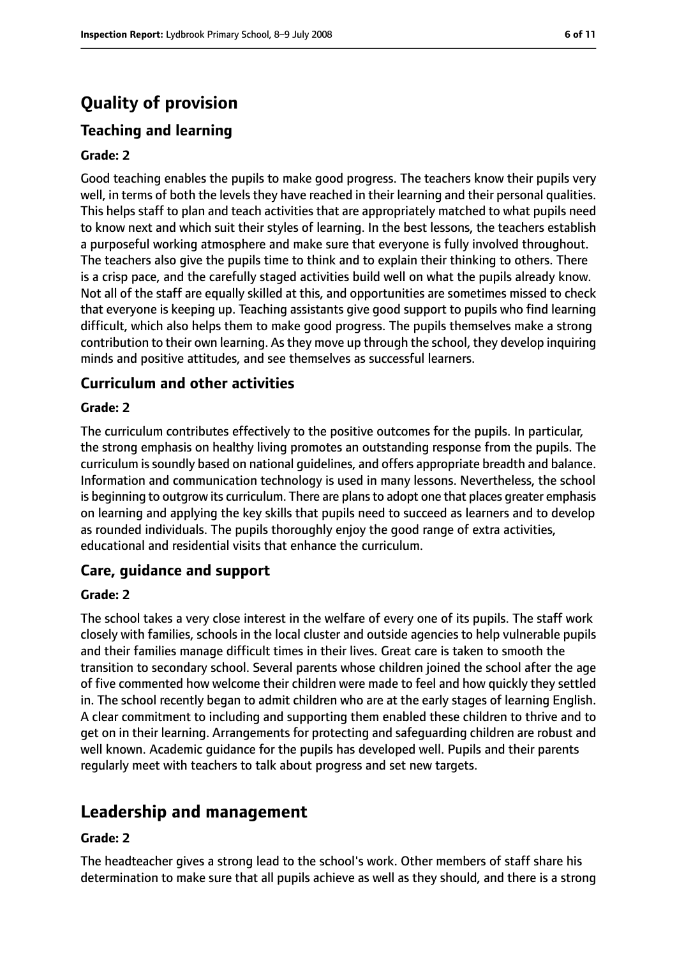# **Quality of provision**

## **Teaching and learning**

#### **Grade: 2**

Good teaching enables the pupils to make good progress. The teachers know their pupils very well, in terms of both the levels they have reached in their learning and their personal qualities. This helps staff to plan and teach activities that are appropriately matched to what pupils need to know next and which suit their styles of learning. In the best lessons, the teachers establish a purposeful working atmosphere and make sure that everyone is fully involved throughout. The teachers also give the pupils time to think and to explain their thinking to others. There is a crisp pace, and the carefully staged activities build well on what the pupils already know. Not all of the staff are equally skilled at this, and opportunities are sometimes missed to check that everyone is keeping up. Teaching assistants give good support to pupils who find learning difficult, which also helps them to make good progress. The pupils themselves make a strong contribution to their own learning. As they move up through the school, they develop inquiring minds and positive attitudes, and see themselves as successful learners.

#### **Curriculum and other activities**

#### **Grade: 2**

The curriculum contributes effectively to the positive outcomes for the pupils. In particular, the strong emphasis on healthy living promotes an outstanding response from the pupils. The curriculum is soundly based on national guidelines, and offers appropriate breadth and balance. Information and communication technology is used in many lessons. Nevertheless, the school is beginning to outgrow its curriculum. There are plans to adopt one that places greater emphasis on learning and applying the key skills that pupils need to succeed as learners and to develop as rounded individuals. The pupils thoroughly enjoy the good range of extra activities, educational and residential visits that enhance the curriculum.

#### **Care, guidance and support**

#### **Grade: 2**

The school takes a very close interest in the welfare of every one of its pupils. The staff work closely with families, schools in the local cluster and outside agencies to help vulnerable pupils and their families manage difficult times in their lives. Great care is taken to smooth the transition to secondary school. Several parents whose children joined the school after the age of five commented how welcome their children were made to feel and how quickly they settled in. The school recently began to admit children who are at the early stages of learning English. A clear commitment to including and supporting them enabled these children to thrive and to get on in their learning. Arrangements for protecting and safeguarding children are robust and well known. Academic guidance for the pupils has developed well. Pupils and their parents regularly meet with teachers to talk about progress and set new targets.

## **Leadership and management**

#### **Grade: 2**

The headteacher gives a strong lead to the school's work. Other members of staff share his determination to make sure that all pupils achieve as well as they should, and there is a strong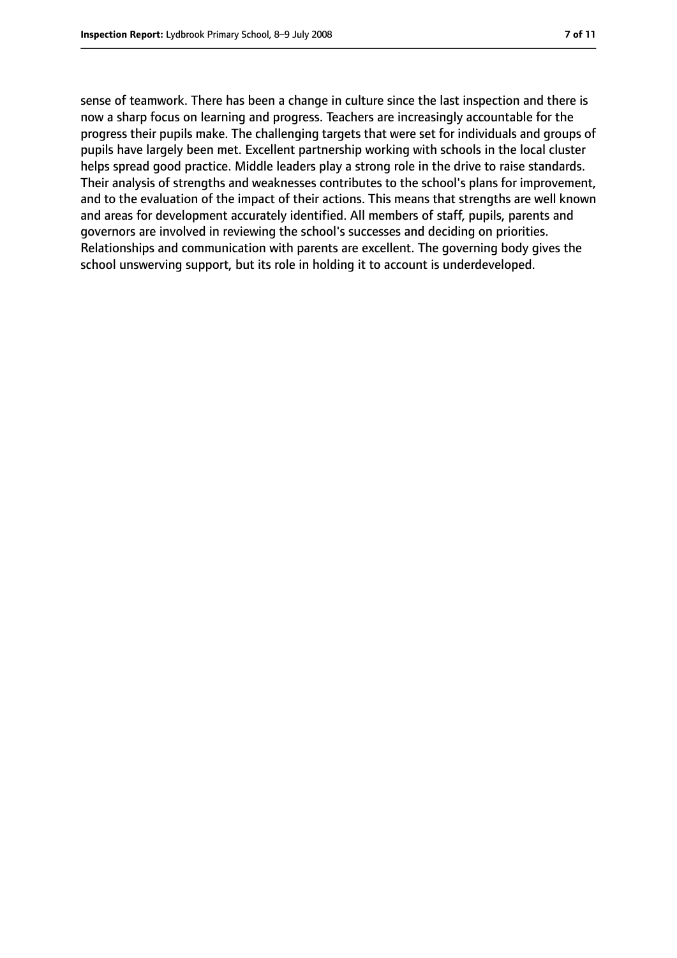sense of teamwork. There has been a change in culture since the last inspection and there is now a sharp focus on learning and progress. Teachers are increasingly accountable for the progress their pupils make. The challenging targets that were set for individuals and groups of pupils have largely been met. Excellent partnership working with schools in the local cluster helps spread good practice. Middle leaders play a strong role in the drive to raise standards. Their analysis of strengths and weaknesses contributes to the school's plans for improvement, and to the evaluation of the impact of their actions. This means that strengths are well known and areas for development accurately identified. All members of staff, pupils, parents and governors are involved in reviewing the school's successes and deciding on priorities. Relationships and communication with parents are excellent. The governing body gives the school unswerving support, but its role in holding it to account is underdeveloped.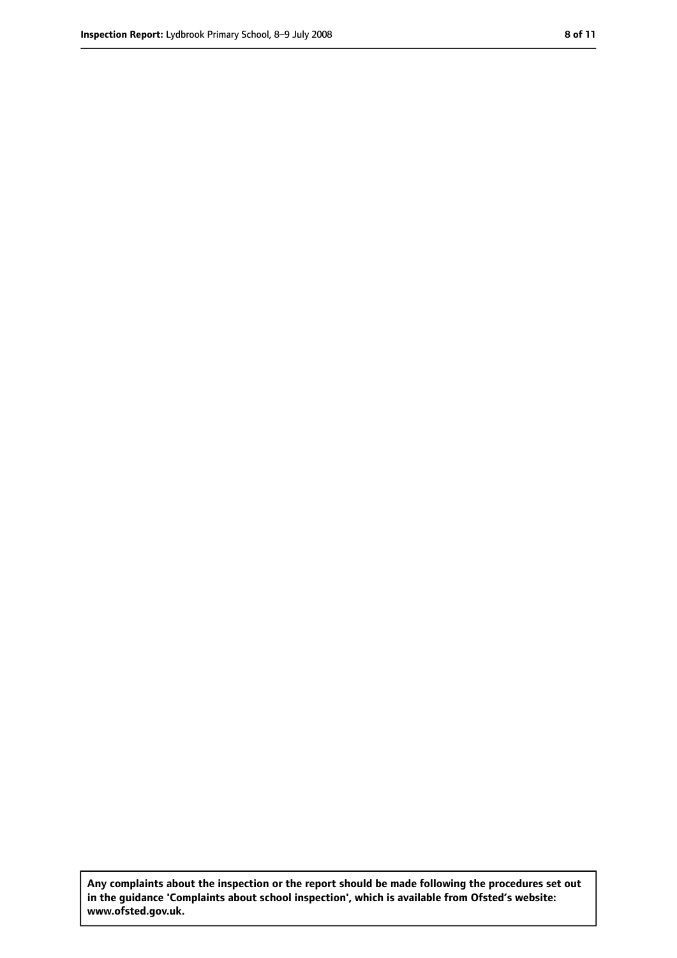**Any complaints about the inspection or the report should be made following the procedures set out in the guidance 'Complaints about school inspection', which is available from Ofsted's website: www.ofsted.gov.uk.**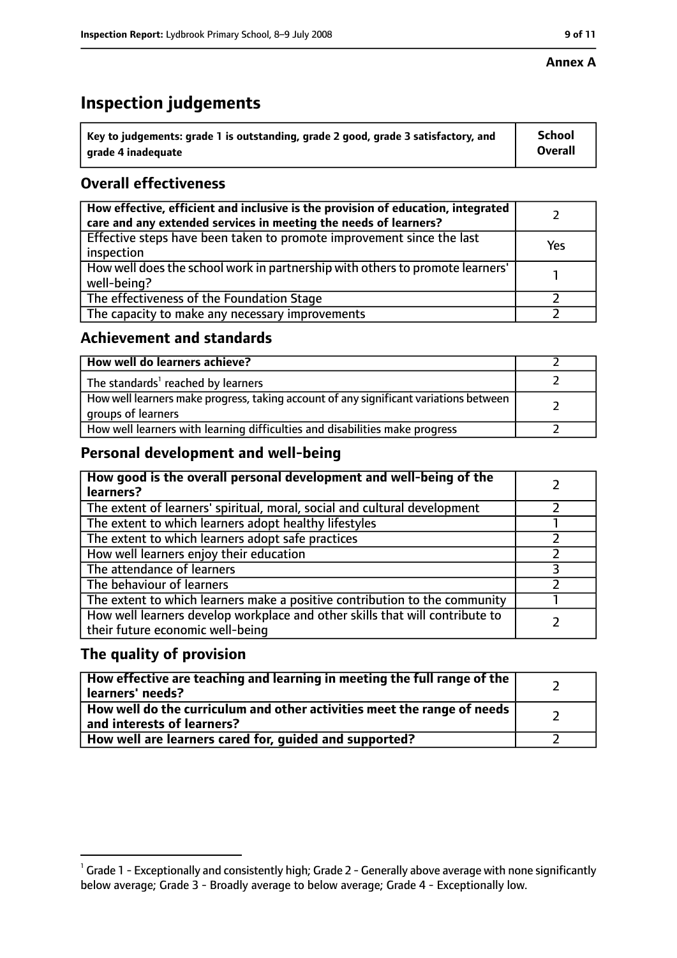#### **Annex A**

# **Inspection judgements**

| $^{\backprime}$ Key to judgements: grade 1 is outstanding, grade 2 good, grade 3 satisfactory, and | <b>School</b>  |
|----------------------------------------------------------------------------------------------------|----------------|
| arade 4 inadequate                                                                                 | <b>Overall</b> |

## **Overall effectiveness**

| How effective, efficient and inclusive is the provision of education, integrated<br>care and any extended services in meeting the needs of learners? |     |
|------------------------------------------------------------------------------------------------------------------------------------------------------|-----|
| Effective steps have been taken to promote improvement since the last<br>inspection                                                                  | Yes |
| How well does the school work in partnership with others to promote learners'<br>well-being?                                                         |     |
| The effectiveness of the Foundation Stage                                                                                                            |     |
| The capacity to make any necessary improvements                                                                                                      |     |

## **Achievement and standards**

| How well do learners achieve?                                                                               |  |
|-------------------------------------------------------------------------------------------------------------|--|
| The standards <sup>1</sup> reached by learners                                                              |  |
| How well learners make progress, taking account of any significant variations between<br>groups of learners |  |
| How well learners with learning difficulties and disabilities make progress                                 |  |

## **Personal development and well-being**

| How good is the overall personal development and well-being of the<br>learners?                                  |  |
|------------------------------------------------------------------------------------------------------------------|--|
| The extent of learners' spiritual, moral, social and cultural development                                        |  |
| The extent to which learners adopt healthy lifestyles                                                            |  |
| The extent to which learners adopt safe practices                                                                |  |
| How well learners enjoy their education                                                                          |  |
| The attendance of learners                                                                                       |  |
| The behaviour of learners                                                                                        |  |
| The extent to which learners make a positive contribution to the community                                       |  |
| How well learners develop workplace and other skills that will contribute to<br>their future economic well-being |  |

## **The quality of provision**

| How effective are teaching and learning in meeting the full range of the<br>learners' needs?          |  |
|-------------------------------------------------------------------------------------------------------|--|
| How well do the curriculum and other activities meet the range of needs<br>and interests of learners? |  |
| How well are learners cared for, guided and supported?                                                |  |

 $^1$  Grade 1 - Exceptionally and consistently high; Grade 2 - Generally above average with none significantly below average; Grade 3 - Broadly average to below average; Grade 4 - Exceptionally low.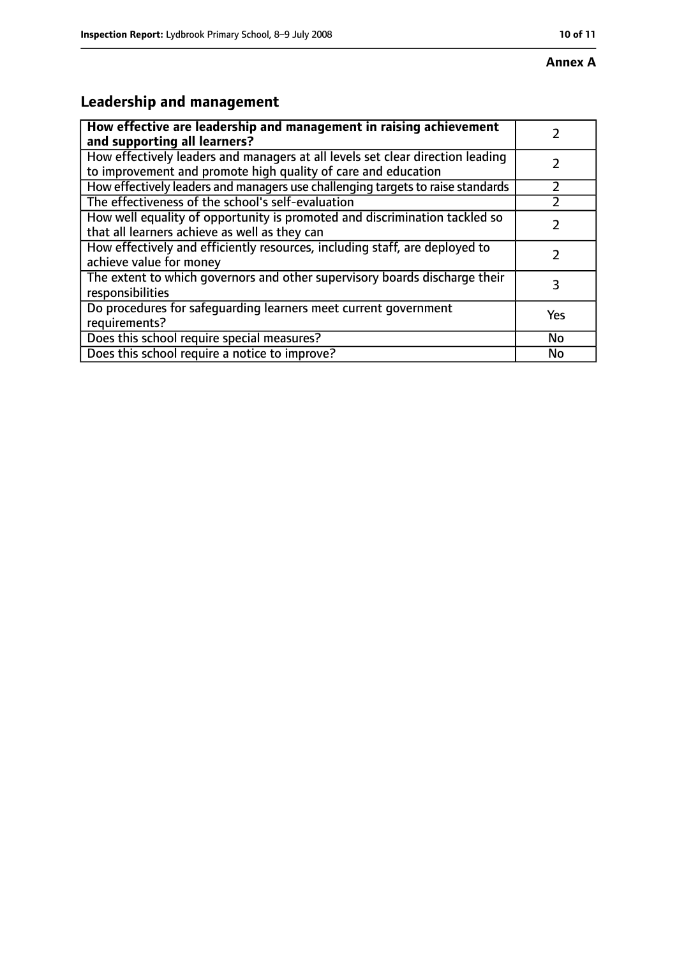# **Annex A**

# **Leadership and management**

| How effective are leadership and management in raising achievement              |     |
|---------------------------------------------------------------------------------|-----|
| and supporting all learners?                                                    |     |
| How effectively leaders and managers at all levels set clear direction leading  |     |
| to improvement and promote high quality of care and education                   |     |
| How effectively leaders and managers use challenging targets to raise standards |     |
| The effectiveness of the school's self-evaluation                               |     |
| How well equality of opportunity is promoted and discrimination tackled so      |     |
| that all learners achieve as well as they can                                   |     |
| How effectively and efficiently resources, including staff, are deployed to     | 7   |
| achieve value for money                                                         |     |
| The extent to which governors and other supervisory boards discharge their      | 3   |
| responsibilities                                                                |     |
| Do procedures for safequarding learners meet current government                 | Yes |
| requirements?                                                                   |     |
| Does this school require special measures?                                      | No  |
| Does this school require a notice to improve?                                   | No  |